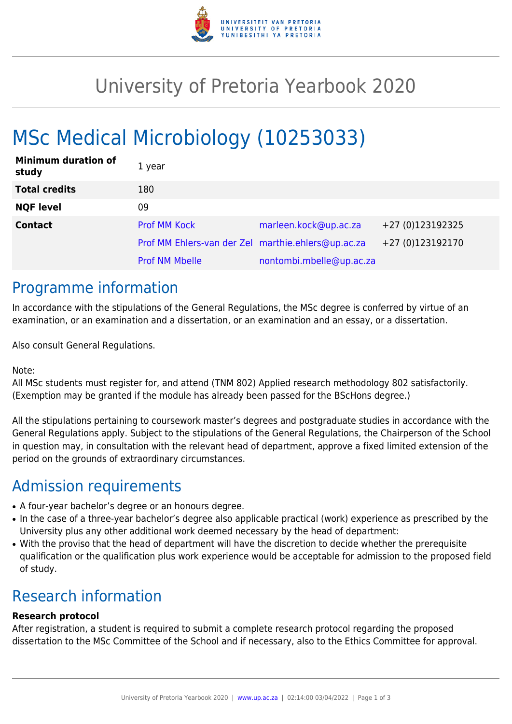

# University of Pretoria Yearbook 2020

# MSc Medical Microbiology (10253033)

| <b>Minimum duration of</b><br>study | 1 year                                             |                          |                  |
|-------------------------------------|----------------------------------------------------|--------------------------|------------------|
| <b>Total credits</b>                | 180                                                |                          |                  |
| <b>NQF level</b>                    | 09                                                 |                          |                  |
| <b>Contact</b>                      | <b>Prof MM Kock</b>                                | marleen.kock@up.ac.za    | +27 (0)123192325 |
|                                     | Prof MM Ehlers-van der Zel marthie.ehlers@up.ac.za |                          | +27 (0)123192170 |
|                                     | <b>Prof NM Mbelle</b>                              | nontombi.mbelle@up.ac.za |                  |

## Programme information

In accordance with the stipulations of the General Regulations, the MSc degree is conferred by virtue of an examination, or an examination and a dissertation, or an examination and an essay, or a dissertation.

Also consult General Regulations.

Note:

All MSc students must register for, and attend (TNM 802) Applied research methodology 802 satisfactorily. (Exemption may be granted if the module has already been passed for the BScHons degree.)

All the stipulations pertaining to coursework master's degrees and postgraduate studies in accordance with the General Regulations apply. Subject to the stipulations of the General Regulations, the Chairperson of the School in question may, in consultation with the relevant head of department, approve a fixed limited extension of the period on the grounds of extraordinary circumstances.

## Admission requirements

- A four-year bachelor's degree or an honours degree.
- In the case of a three-year bachelor's degree also applicable practical (work) experience as prescribed by the University plus any other additional work deemed necessary by the head of department:
- With the proviso that the head of department will have the discretion to decide whether the prerequisite qualification or the qualification plus work experience would be acceptable for admission to the proposed field of study.

# Research information

#### **Research protocol**

After registration, a student is required to submit a complete research protocol regarding the proposed dissertation to the MSc Committee of the School and if necessary, also to the Ethics Committee for approval.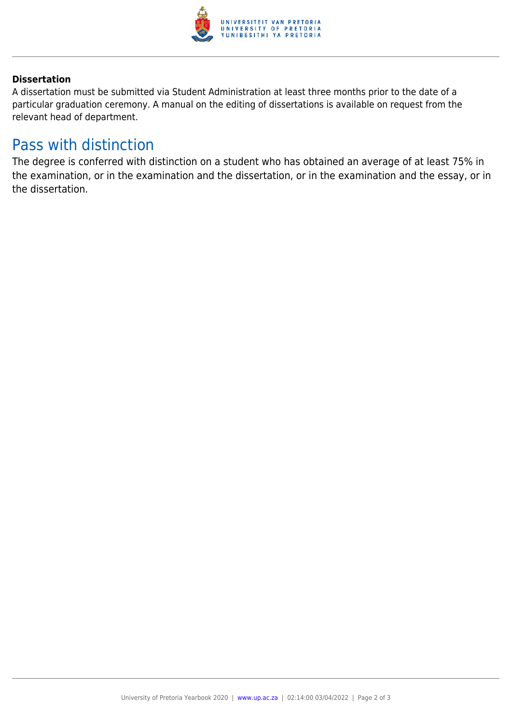

#### **Dissertation**

A dissertation must be submitted via Student Administration at least three months prior to the date of a particular graduation ceremony. A manual on the editing of dissertations is available on request from the relevant head of department.

### Pass with distinction

The degree is conferred with distinction on a student who has obtained an average of at least 75% in the examination, or in the examination and the dissertation, or in the examination and the essay, or in the dissertation.